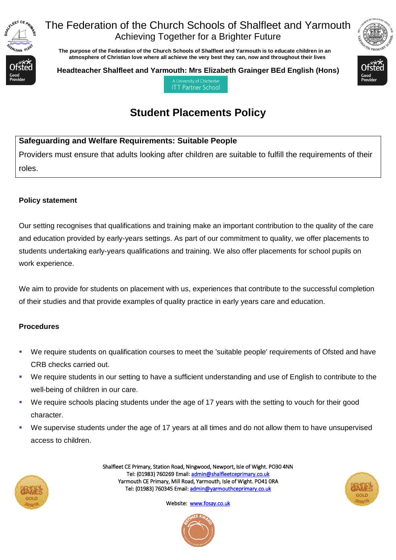

### The Federation of the Church Schools of Shalfleet and Yarmouth Achieving Together for a Brighter Future

 **The purpose of the Federation of the Church Schools of Shalfleet and Yarmouth is to educate children in an atmosphere of Christian love where all achieve the very best they can, now and throughout their lives** 



**Headteacher Shalfleet and Yarmouth: Mrs Elizabeth Grainger BEd English (Hons)**

A University of Chicheste **ITT Partner School** 

# **Student Placements Policy**

#### **Safeguarding and Welfare Requirements: Suitable People**

Providers must ensure that adults looking after children are suitable to fulfill the requirements of their roles.

#### **Policy statement**

Our setting recognises that qualifications and training make an important contribution to the quality of the care and education provided by early-years settings. As part of our commitment to quality, we offer placements to students undertaking early-years qualifications and training. We also offer placements for school pupils on work experience.

We aim to provide for students on placement with us, experiences that contribute to the successful completion of their studies and that provide examples of quality practice in early years care and education.

#### **Procedures**

- We require students on qualification courses to meet the 'suitable people' requirements of Ofsted and have CRB checks carried out.
- We require students in our setting to have a sufficient understanding and use of English to contribute to the well-being of children in our care.
- We require schools placing students under the age of 17 years with the setting to vouch for their good character.
- We supervise students under the age of 17 years at all times and do not allow them to have unsupervised access to children.



Shalfleet CE Primary, Station Road, Ningwood, Newport, Isle of Wight. PO30 4NN Tel: (01983) 760269 Email[: admin@shalfleetceprimary.co.uk](mailto:admin@shalfleetceprimary.co.uk)  Yarmouth CE Primary, Mill Road, Yarmouth, Isle of Wight. PO41 0RA Tel: (01983) 760345 Email: admin@yarmouthceprimary.co.uk



Website: [www.fosay.co.uk](http://www.fosay.co.uk/)